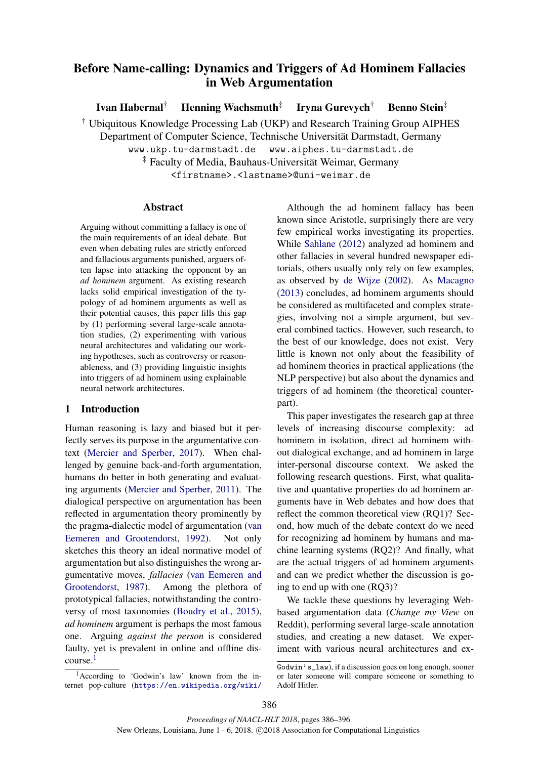# Before Name-calling: Dynamics and Triggers of Ad Hominem Fallacies in Web Argumentation

Ivan Habernal<sup>†</sup> Henning Wachsmuth<sup>‡</sup> Iryna Gurevych† Benno Stein‡

† Ubiquitous Knowledge Processing Lab (UKP) and Research Training Group AIPHES

Department of Computer Science, Technische Universitat Darmstadt, Germany ¨

www.ukp.tu-darmstadt.de www.aiphes.tu-darmstadt.de

‡ Faculty of Media, Bauhaus-Universitat Weimar, Germany ¨

<firstname>.<lastname>@uni-weimar.de

## Abstract

Arguing without committing a fallacy is one of the main requirements of an ideal debate. But even when debating rules are strictly enforced and fallacious arguments punished, arguers often lapse into attacking the opponent by an *ad hominem* argument. As existing research lacks solid empirical investigation of the typology of ad hominem arguments as well as their potential causes, this paper fills this gap by (1) performing several large-scale annotation studies, (2) experimenting with various neural architectures and validating our working hypotheses, such as controversy or reasonableness, and (3) providing linguistic insights into triggers of ad hominem using explainable neural network architectures.

## 1 Introduction

Human reasoning is lazy and biased but it perfectly serves its purpose in the argumentative context (Mercier and Sperber, 2017). When challenged by genuine back-and-forth argumentation, humans do better in both generating and evaluating arguments (Mercier and Sperber, 2011). The dialogical perspective on argumentation has been reflected in argumentation theory prominently by the pragma-dialectic model of argumentation (van Eemeren and Grootendorst, 1992). Not only sketches this theory an ideal normative model of argumentation but also distinguishes the wrong argumentative moves, *fallacies* (van Eemeren and Grootendorst, 1987). Among the plethora of prototypical fallacies, notwithstanding the controversy of most taxonomies (Boudry et al., 2015), *ad hominem* argument is perhaps the most famous one. Arguing *against the person* is considered faulty, yet is prevalent in online and offline discourse.<sup>1</sup>

 $1$ According to 'Godwin's law' known from the internet pop-culture (https://en.wikipedia.org/wiki/

Although the ad hominem fallacy has been known since Aristotle, surprisingly there are very few empirical works investigating its properties. While Sahlane (2012) analyzed ad hominem and other fallacies in several hundred newspaper editorials, others usually only rely on few examples, as observed by de Wijze (2002). As Macagno (2013) concludes, ad hominem arguments should be considered as multifaceted and complex strategies, involving not a simple argument, but several combined tactics. However, such research, to the best of our knowledge, does not exist. Very little is known not only about the feasibility of ad hominem theories in practical applications (the NLP perspective) but also about the dynamics and triggers of ad hominem (the theoretical counterpart).

This paper investigates the research gap at three levels of increasing discourse complexity: ad hominem in isolation, direct ad hominem without dialogical exchange, and ad hominem in large inter-personal discourse context. We asked the following research questions. First, what qualitative and quantative properties do ad hominem arguments have in Web debates and how does that reflect the common theoretical view (RQ1)? Second, how much of the debate context do we need for recognizing ad hominem by humans and machine learning systems (RQ2)? And finally, what are the actual triggers of ad hominem arguments and can we predict whether the discussion is going to end up with one (RQ3)?

We tackle these questions by leveraging Webbased argumentation data (*Change my View* on Reddit), performing several large-scale annotation studies, and creating a new dataset. We experiment with various neural architectures and ex-

Godwin's\_law), if a discussion goes on long enough, sooner or later someone will compare someone or something to Adolf Hitler.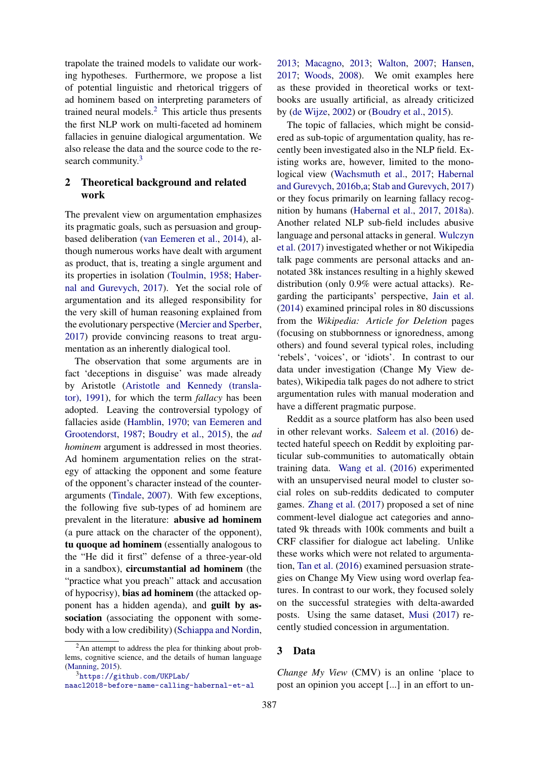trapolate the trained models to validate our working hypotheses. Furthermore, we propose a list of potential linguistic and rhetorical triggers of ad hominem based on interpreting parameters of trained neural models. $<sup>2</sup>$  This article thus presents</sup> the first NLP work on multi-faceted ad hominem fallacies in genuine dialogical argumentation. We also release the data and the source code to the research community.<sup>3</sup>

## 2 Theoretical background and related work

The prevalent view on argumentation emphasizes its pragmatic goals, such as persuasion and groupbased deliberation (van Eemeren et al., 2014), although numerous works have dealt with argument as product, that is, treating a single argument and its properties in isolation (Toulmin, 1958; Habernal and Gurevych, 2017). Yet the social role of argumentation and its alleged responsibility for the very skill of human reasoning explained from the evolutionary perspective (Mercier and Sperber, 2017) provide convincing reasons to treat argumentation as an inherently dialogical tool.

The observation that some arguments are in fact 'deceptions in disguise' was made already by Aristotle (Aristotle and Kennedy (translator), 1991), for which the term *fallacy* has been adopted. Leaving the controversial typology of fallacies aside (Hamblin, 1970; van Eemeren and Grootendorst, 1987; Boudry et al., 2015), the *ad hominem* argument is addressed in most theories. Ad hominem argumentation relies on the strategy of attacking the opponent and some feature of the opponent's character instead of the counterarguments (Tindale, 2007). With few exceptions, the following five sub-types of ad hominem are prevalent in the literature: abusive ad hominem (a pure attack on the character of the opponent), tu quoque ad hominem (essentially analogous to the "He did it first" defense of a three-year-old in a sandbox), circumstantial ad hominem (the "practice what you preach" attack and accusation of hypocrisy), bias ad hominem (the attacked opponent has a hidden agenda), and guilt by association (associating the opponent with somebody with a low credibility) (Schiappa and Nordin, 2013; Macagno, 2013; Walton, 2007; Hansen, 2017; Woods, 2008). We omit examples here as these provided in theoretical works or textbooks are usually artificial, as already criticized by (de Wijze, 2002) or (Boudry et al., 2015).

The topic of fallacies, which might be considered as sub-topic of argumentation quality, has recently been investigated also in the NLP field. Existing works are, however, limited to the monological view (Wachsmuth et al., 2017; Habernal and Gurevych, 2016b,a; Stab and Gurevych, 2017) or they focus primarily on learning fallacy recognition by humans (Habernal et al., 2017, 2018a). Another related NLP sub-field includes abusive language and personal attacks in general. Wulczyn et al. (2017) investigated whether or not Wikipedia talk page comments are personal attacks and annotated 38k instances resulting in a highly skewed distribution (only 0.9% were actual attacks). Regarding the participants' perspective, Jain et al. (2014) examined principal roles in 80 discussions from the *Wikipedia: Article for Deletion* pages (focusing on stubbornness or ignoredness, among others) and found several typical roles, including 'rebels', 'voices', or 'idiots'. In contrast to our data under investigation (Change My View debates), Wikipedia talk pages do not adhere to strict argumentation rules with manual moderation and have a different pragmatic purpose.

Reddit as a source platform has also been used in other relevant works. Saleem et al. (2016) detected hateful speech on Reddit by exploiting particular sub-communities to automatically obtain training data. Wang et al. (2016) experimented with an unsupervised neural model to cluster social roles on sub-reddits dedicated to computer games. Zhang et al. (2017) proposed a set of nine comment-level dialogue act categories and annotated 9k threads with 100k comments and built a CRF classifier for dialogue act labeling. Unlike these works which were not related to argumentation, Tan et al. (2016) examined persuasion strategies on Change My View using word overlap features. In contrast to our work, they focused solely on the successful strategies with delta-awarded posts. Using the same dataset, Musi (2017) recently studied concession in argumentation.

## 3 Data

*Change My View* (CMV) is an online 'place to post an opinion you accept [...] in an effort to un-

 $2$ An attempt to address the plea for thinking about problems, cognitive science, and the details of human language (Manning, 2015).

<sup>3</sup>https://github.com/UKPLab/

naacl2018-before-name-calling-habernal-et-al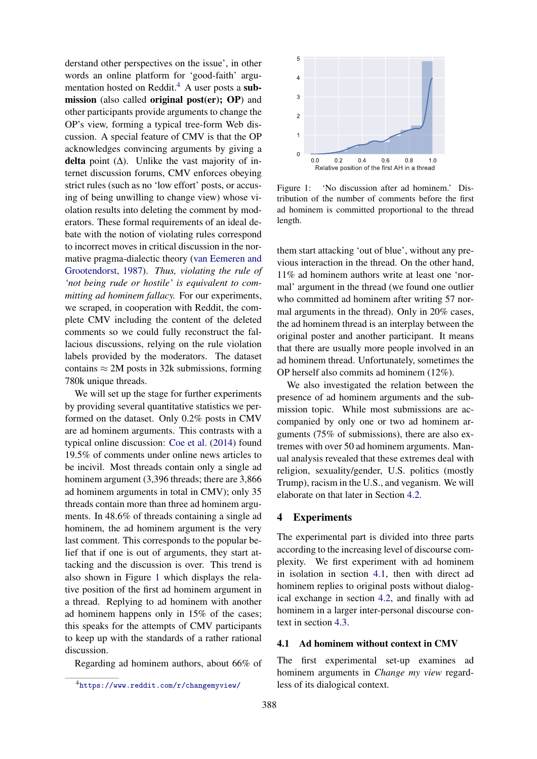derstand other perspectives on the issue', in other words an online platform for 'good-faith' argumentation hosted on Reddit.<sup>4</sup> A user posts a submission (also called original post(er); OP) and other participants provide arguments to change the OP's view, forming a typical tree-form Web discussion. A special feature of CMV is that the OP acknowledges convincing arguments by giving a delta point  $(∆)$ . Unlike the vast majority of internet discussion forums, CMV enforces obeying strict rules (such as no 'low effort' posts, or accusing of being unwilling to change view) whose violation results into deleting the comment by moderators. These formal requirements of an ideal debate with the notion of violating rules correspond to incorrect moves in critical discussion in the normative pragma-dialectic theory (van Eemeren and Grootendorst, 1987). *Thus, violating the rule of 'not being rude or hostile' is equivalent to committing ad hominem fallacy.* For our experiments, we scraped, in cooperation with Reddit, the complete CMV including the content of the deleted comments so we could fully reconstruct the fallacious discussions, relying on the rule violation labels provided by the moderators. The dataset contains  $\approx 2M$  posts in 32k submissions, forming 780k unique threads.

We will set up the stage for further experiments by providing several quantitative statistics we performed on the dataset. Only 0.2% posts in CMV are ad hominem arguments. This contrasts with a typical online discussion: Coe et al. (2014) found 19.5% of comments under online news articles to be incivil. Most threads contain only a single ad hominem argument (3,396 threads; there are 3,866 ad hominem arguments in total in CMV); only 35 threads contain more than three ad hominem arguments. In 48.6% of threads containing a single ad hominem, the ad hominem argument is the very last comment. This corresponds to the popular belief that if one is out of arguments, they start attacking and the discussion is over. This trend is also shown in Figure 1 which displays the relative position of the first ad hominem argument in a thread. Replying to ad hominem with another ad hominem happens only in 15% of the cases; this speaks for the attempts of CMV participants to keep up with the standards of a rather rational discussion.

Regarding ad hominem authors, about 66% of



Figure 1: 'No discussion after ad hominem.' Distribution of the number of comments before the first ad hominem is committed proportional to the thread length.

them start attacking 'out of blue', without any previous interaction in the thread. On the other hand, 11% ad hominem authors write at least one 'normal' argument in the thread (we found one outlier who committed ad hominem after writing 57 normal arguments in the thread). Only in 20% cases, the ad hominem thread is an interplay between the original poster and another participant. It means that there are usually more people involved in an ad hominem thread. Unfortunately, sometimes the OP herself also commits ad hominem (12%).

We also investigated the relation between the presence of ad hominem arguments and the submission topic. While most submissions are accompanied by only one or two ad hominem arguments (75% of submissions), there are also extremes with over 50 ad hominem arguments. Manual analysis revealed that these extremes deal with religion, sexuality/gender, U.S. politics (mostly Trump), racism in the U.S., and veganism. We will elaborate on that later in Section 4.2.

## 4 Experiments

The experimental part is divided into three parts according to the increasing level of discourse complexity. We first experiment with ad hominem in isolation in section 4.1, then with direct ad hominem replies to original posts without dialogical exchange in section 4.2, and finally with ad hominem in a larger inter-personal discourse context in section 4.3.

## 4.1 Ad hominem without context in CMV

The first experimental set-up examines ad hominem arguments in *Change my view* regardless of its dialogical context.

<sup>4</sup>https://www.reddit.com/r/changemyview/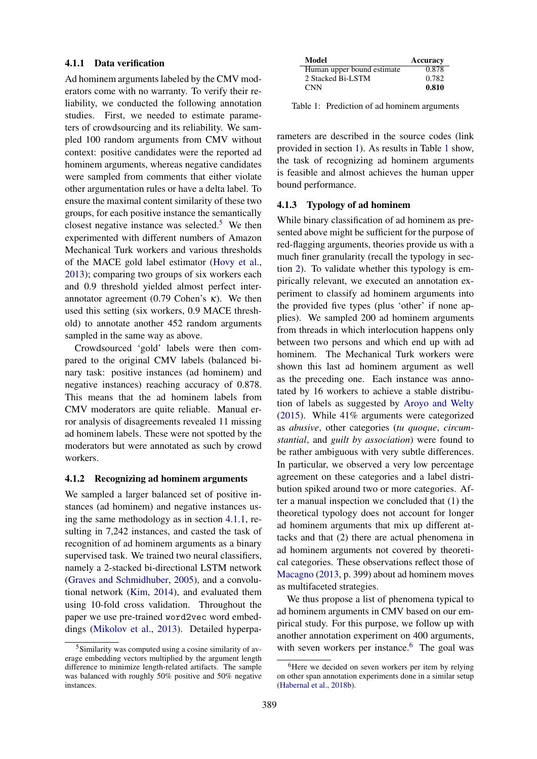### 4.1.1 Data verification

Ad hominem arguments labeled by the CMV moderators come with no warranty. To verify their reliability, we conducted the following annotation studies. First, we needed to estimate parameters of crowdsourcing and its reliability. We sampled 100 random arguments from CMV without context: positive candidates were the reported ad hominem arguments, whereas negative candidates were sampled from comments that either violate other argumentation rules or have a delta label. To ensure the maximal content similarity of these two groups, for each positive instance the semantically closest negative instance was selected.<sup>5</sup> We then experimented with different numbers of Amazon Mechanical Turk workers and various thresholds of the MACE gold label estimator (Hovy et al., 2013); comparing two groups of six workers each and 0.9 threshold yielded almost perfect interannotator agreement (0.79 Cohen's  $\kappa$ ). We then used this setting (six workers, 0.9 MACE threshold) to annotate another 452 random arguments sampled in the same way as above.

Crowdsourced 'gold' labels were then compared to the original CMV labels (balanced binary task: positive instances (ad hominem) and negative instances) reaching accuracy of 0.878. This means that the ad hominem labels from CMV moderators are quite reliable. Manual error analysis of disagreements revealed 11 missing ad hominem labels. These were not spotted by the moderators but were annotated as such by crowd workers.

## 4.1.2 Recognizing ad hominem arguments

We sampled a larger balanced set of positive instances (ad hominem) and negative instances using the same methodology as in section 4.1.1, resulting in 7,242 instances, and casted the task of recognition of ad hominem arguments as a binary supervised task. We trained two neural classifiers, namely a 2-stacked bi-directional LSTM network (Graves and Schmidhuber, 2005), and a convolutional network (Kim, 2014), and evaluated them using 10-fold cross validation. Throughout the paper we use pre-trained word2vec word embeddings (Mikolov et al., 2013). Detailed hyperpa-

| Model                      | Accuracy |
|----------------------------|----------|
| Human upper bound estimate | 0.878    |
| 2 Stacked Bi-LSTM          | 0.782    |
| <b>CNN</b>                 | 0.810    |

Table 1: Prediction of ad hominem arguments

rameters are described in the source codes (link provided in section 1). As results in Table 1 show, the task of recognizing ad hominem arguments is feasible and almost achieves the human upper bound performance.

## 4.1.3 Typology of ad hominem

While binary classification of ad hominem as presented above might be sufficient for the purpose of red-flagging arguments, theories provide us with a much finer granularity (recall the typology in section 2). To validate whether this typology is empirically relevant, we executed an annotation experiment to classify ad hominem arguments into the provided five types (plus 'other' if none applies). We sampled 200 ad hominem arguments from threads in which interlocution happens only between two persons and which end up with ad hominem. The Mechanical Turk workers were shown this last ad hominem argument as well as the preceding one. Each instance was annotated by 16 workers to achieve a stable distribution of labels as suggested by Aroyo and Welty (2015). While 41% arguments were categorized as *abusive*, other categories (*tu quoque*, *circumstantial*, and *guilt by association*) were found to be rather ambiguous with very subtle differences. In particular, we observed a very low percentage agreement on these categories and a label distribution spiked around two or more categories. After a manual inspection we concluded that (1) the theoretical typology does not account for longer ad hominem arguments that mix up different attacks and that (2) there are actual phenomena in ad hominem arguments not covered by theoretical categories. These observations reflect those of Macagno (2013, p. 399) about ad hominem moves as multifaceted strategies.

We thus propose a list of phenomena typical to ad hominem arguments in CMV based on our empirical study. For this purpose, we follow up with another annotation experiment on 400 arguments, with seven workers per instance.<sup>6</sup> The goal was

<sup>5</sup>Similarity was computed using a cosine similarity of average embedding vectors multiplied by the argument length difference to minimize length-related artifacts. The sample was balanced with roughly 50% positive and 50% negative instances.

<sup>&</sup>lt;sup>6</sup>Here we decided on seven workers per item by relying on other span annotation experiments done in a similar setup (Habernal et al., 2018b).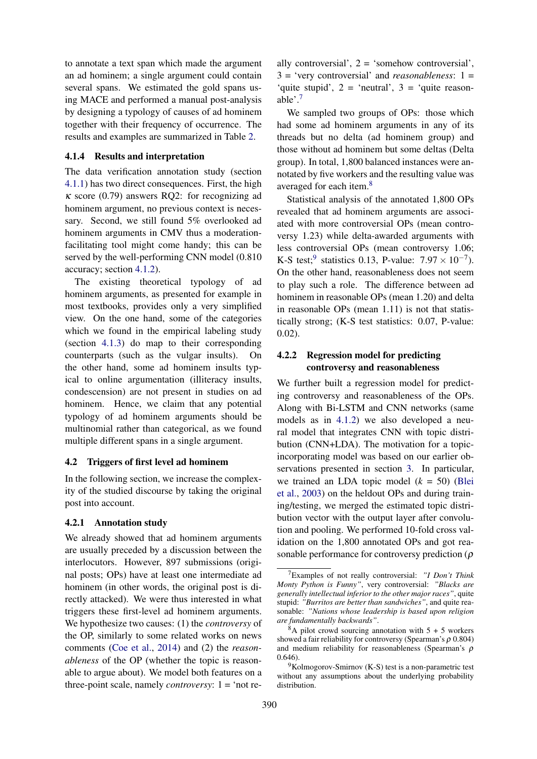to annotate a text span which made the argument an ad hominem; a single argument could contain several spans. We estimated the gold spans using MACE and performed a manual post-analysis by designing a typology of causes of ad hominem together with their frequency of occurrence. The results and examples are summarized in Table 2.

### 4.1.4 Results and interpretation

The data verification annotation study (section 4.1.1) has two direct consequences. First, the high  $\kappa$  score (0.79) answers RQ2: for recognizing ad hominem argument, no previous context is necessary. Second, we still found 5% overlooked ad hominem arguments in CMV thus a moderationfacilitating tool might come handy; this can be served by the well-performing CNN model (0.810 accuracy; section 4.1.2).

The existing theoretical typology of ad hominem arguments, as presented for example in most textbooks, provides only a very simplified view. On the one hand, some of the categories which we found in the empirical labeling study (section 4.1.3) do map to their corresponding counterparts (such as the vulgar insults). On the other hand, some ad hominem insults typical to online argumentation (illiteracy insults, condescension) are not present in studies on ad hominem. Hence, we claim that any potential typology of ad hominem arguments should be multinomial rather than categorical, as we found multiple different spans in a single argument.

### 4.2 Triggers of first level ad hominem

In the following section, we increase the complexity of the studied discourse by taking the original post into account.

#### 4.2.1 Annotation study

We already showed that ad hominem arguments are usually preceded by a discussion between the interlocutors. However, 897 submissions (original posts; OPs) have at least one intermediate ad hominem (in other words, the original post is directly attacked). We were thus interested in what triggers these first-level ad hominem arguments. We hypothesize two causes: (1) the *controversy* of the OP, similarly to some related works on news comments (Coe et al., 2014) and (2) the *reasonableness* of the OP (whether the topic is reasonable to argue about). We model both features on a three-point scale, namely *controversy*: 1 = 'not re-

ally controversial',  $2 =$  'somehow controversial',  $3 = 'very controversial' and *reasonableness*: 1 =$ 'quite stupid',  $2 =$  'neutral',  $3 =$  'quite reasonable'.<sup>7</sup>

We sampled two groups of OPs: those which had some ad hominem arguments in any of its threads but no delta (ad hominem group) and those without ad hominem but some deltas (Delta group). In total, 1,800 balanced instances were annotated by five workers and the resulting value was averaged for each item.<sup>8</sup>

Statistical analysis of the annotated 1,800 OPs revealed that ad hominem arguments are associated with more controversial OPs (mean controversy 1.23) while delta-awarded arguments with less controversial OPs (mean controversy 1.06; K-S test;<sup>9</sup> statistics 0.13, P-value:  $7.97 \times 10^{-7}$ ). On the other hand, reasonableness does not seem to play such a role. The difference between ad hominem in reasonable OPs (mean 1.20) and delta in reasonable OPs (mean 1.11) is not that statistically strong; (K-S test statistics: 0.07, P-value: 0.02).

## 4.2.2 Regression model for predicting controversy and reasonableness

We further built a regression model for predicting controversy and reasonableness of the OPs. Along with Bi-LSTM and CNN networks (same models as in 4.1.2) we also developed a neural model that integrates CNN with topic distribution (CNN+LDA). The motivation for a topicincorporating model was based on our earlier observations presented in section 3. In particular, we trained an LDA topic model (*k* = 50) (Blei et al., 2003) on the heldout OPs and during training/testing, we merged the estimated topic distribution vector with the output layer after convolution and pooling. We performed 10-fold cross validation on the 1,800 annotated OPs and got reasonable performance for controversy prediction ( $\rho$ 

<sup>7</sup>Examples of not really controversial: *"I Don't Think Monty Python is Funny"*, very controversial: *"Blacks are generally intellectual inferior to the other major races"*, quite stupid: *"Burritos are better than sandwiches"*, and quite reasonable: *"Nations whose leadership is based upon religion are fundamentally backwards"*.

 $8A$  pilot crowd sourcing annotation with  $5 + 5$  workers showed a fair reliability for controversy (Spearman's  $\rho$  0.804) and medium reliability for reasonableness (Spearman's  $\rho$ 0.646).

 $9$ Kolmogorov-Smirnov (K-S) test is a non-parametric test without any assumptions about the underlying probability distribution.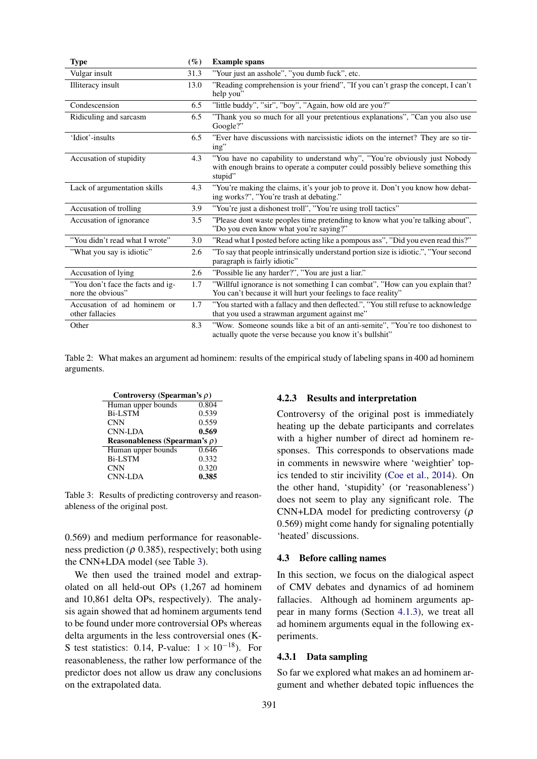| <b>Type</b>                                            | $(\%)$ | <b>Example spans</b>                                                                                                                                                   |
|--------------------------------------------------------|--------|------------------------------------------------------------------------------------------------------------------------------------------------------------------------|
| Vulgar insult                                          | 31.3   | "Your just an asshole", "you dumb fuck", etc.                                                                                                                          |
| Illiteracy insult                                      | 13.0   | "Reading comprehension is your friend", "If you can't grasp the concept, I can't<br>help you"                                                                          |
| Condescension                                          | 6.5    | "little buddy", "sir", "boy", "Again, how old are you?"                                                                                                                |
| Ridiculing and sarcasm                                 | 6.5    | "Thank you so much for all your pretentious explanations", "Can you also use<br>Google?"                                                                               |
| 'Idiot'-insults                                        | 6.5    | "Ever have discussions with narcissistic idiots on the internet? They are so tir-<br>ing"                                                                              |
| Accusation of stupidity                                | 4.3    | "You have no capability to understand why", "You're obviously just Nobody<br>with enough brains to operate a computer could possibly believe something this<br>stupid" |
| Lack of argumentation skills                           | 4.3    | "You're making the claims, it's your job to prove it. Don't you know how debat-<br>ing works?", "You're trash at debating."                                            |
| Accusation of trolling                                 | 3.9    | "You're just a dishonest troll", "You're using troll tactics"                                                                                                          |
| Accusation of ignorance                                | 3.5    | "Please dont waste peoples time pretending to know what you're talking about",<br>"Do you even know what you're saying?"                                               |
| "You didn't read what I wrote"                         | 3.0    | "Read what I posted before acting like a pompous ass", "Did you even read this?"                                                                                       |
| "What you say is idiotic"                              | 2.6    | "To say that people intrinsically understand portion size is idiotic.", "Your second<br>paragraph is fairly idiotic"                                                   |
| Accusation of lying                                    | 2.6    | "Possible lie any harder?", "You are just a liar."                                                                                                                     |
| "You don't face the facts and ig-<br>nore the obvious" | 1.7    | "Willful ignorance is not something I can combat", "How can you explain that?<br>You can't because it will hurt your feelings to face reality"                         |
| Accusation of ad hominem or<br>other fallacies         | 1.7    | "You started with a fallacy and then deflected.", "You still refuse to acknowledge<br>that you used a strawman argument against me"                                    |
| Other                                                  | 8.3    | "Wow. Someone sounds like a bit of an anti-semite", "You're too dishonest to<br>actually quote the verse because you know it's bullshit"                               |

Table 2: What makes an argument ad hominem: results of the empirical study of labeling spans in 400 ad hominem arguments.

| Controversy (Spearman's $\rho$ )    |       |  |  |  |  |
|-------------------------------------|-------|--|--|--|--|
| Human upper bounds                  | 0.804 |  |  |  |  |
| <b>Bi-LSTM</b>                      | 0.539 |  |  |  |  |
| <b>CNN</b>                          | 0.559 |  |  |  |  |
| CNN-LDA                             | 0.569 |  |  |  |  |
| Reasonableness (Spearman's $\rho$ ) |       |  |  |  |  |
|                                     |       |  |  |  |  |
| Human upper bounds                  | 0.646 |  |  |  |  |
| <b>Bi-LSTM</b>                      | 0.332 |  |  |  |  |
| <b>CNN</b>                          | 0.320 |  |  |  |  |

Table 3: Results of predicting controversy and reasonableness of the original post.

0.569) and medium performance for reasonableness prediction ( $\rho$  0.385), respectively; both using the CNN+LDA model (see Table 3).

We then used the trained model and extrapolated on all held-out OPs (1,267 ad hominem and 10,861 delta OPs, respectively). The analysis again showed that ad hominem arguments tend to be found under more controversial OPs whereas delta arguments in the less controversial ones (K-S test statistics: 0.14, P-value:  $1 \times 10^{-18}$ ). For reasonableness, the rather low performance of the predictor does not allow us draw any conclusions on the extrapolated data.

## 4.2.3 Results and interpretation

Controversy of the original post is immediately heating up the debate participants and correlates with a higher number of direct ad hominem responses. This corresponds to observations made in comments in newswire where 'weightier' topics tended to stir incivility (Coe et al., 2014). On the other hand, 'stupidity' (or 'reasonableness') does not seem to play any significant role. The CNN+LDA model for predicting controversy ( $\rho$ 0.569) might come handy for signaling potentially 'heated' discussions.

## 4.3 Before calling names

In this section, we focus on the dialogical aspect of CMV debates and dynamics of ad hominem fallacies. Although ad hominem arguments appear in many forms (Section 4.1.3), we treat all ad hominem arguments equal in the following experiments.

## 4.3.1 Data sampling

So far we explored what makes an ad hominem argument and whether debated topic influences the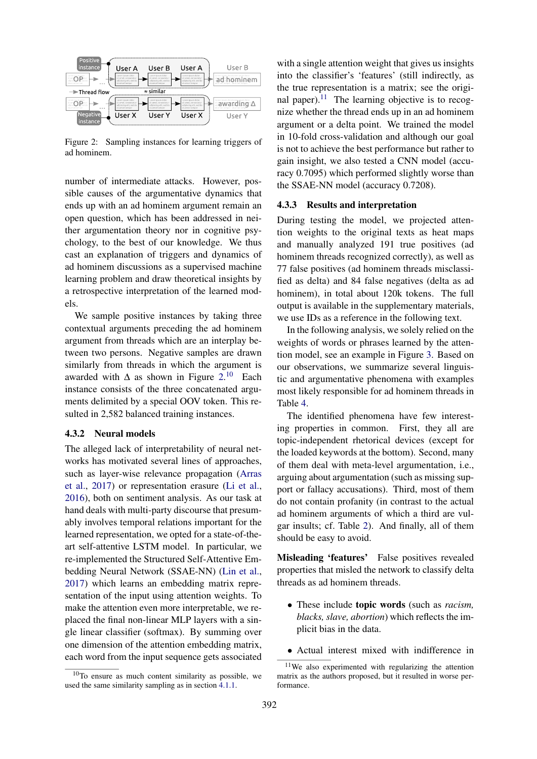

Figure 2: Sampling instances for learning triggers of ad hominem.

number of intermediate attacks. However, possible causes of the argumentative dynamics that ends up with an ad hominem argument remain an open question, which has been addressed in neither argumentation theory nor in cognitive psychology, to the best of our knowledge. We thus cast an explanation of triggers and dynamics of ad hominem discussions as a supervised machine learning problem and draw theoretical insights by a retrospective interpretation of the learned models.

We sample positive instances by taking three contextual arguments preceding the ad hominem argument from threads which are an interplay between two persons. Negative samples are drawn similarly from threads in which the argument is awarded with  $\Delta$  as shown in Figure 2.<sup>10</sup> Each instance consists of the three concatenated arguments delimited by a special OOV token. This resulted in 2,582 balanced training instances.

## 4.3.2 Neural models

The alleged lack of interpretability of neural networks has motivated several lines of approaches, such as layer-wise relevance propagation (Arras et al., 2017) or representation erasure (Li et al., 2016), both on sentiment analysis. As our task at hand deals with multi-party discourse that presumably involves temporal relations important for the learned representation, we opted for a state-of-theart self-attentive LSTM model. In particular, we re-implemented the Structured Self-Attentive Embedding Neural Network (SSAE-NN) (Lin et al., 2017) which learns an embedding matrix representation of the input using attention weights. To make the attention even more interpretable, we replaced the final non-linear MLP layers with a single linear classifier (softmax). By summing over one dimension of the attention embedding matrix, each word from the input sequence gets associated

with a single attention weight that gives us insights into the classifier's 'features' (still indirectly, as the true representation is a matrix; see the original paper). $11$  The learning objective is to recognize whether the thread ends up in an ad hominem argument or a delta point. We trained the model in 10-fold cross-validation and although our goal is not to achieve the best performance but rather to gain insight, we also tested a CNN model (accuracy 0.7095) which performed slightly worse than the SSAE-NN model (accuracy 0.7208).

### 4.3.3 Results and interpretation

During testing the model, we projected attention weights to the original texts as heat maps and manually analyzed 191 true positives (ad hominem threads recognized correctly), as well as 77 false positives (ad hominem threads misclassified as delta) and 84 false negatives (delta as ad hominem), in total about 120k tokens. The full output is available in the supplementary materials, we use IDs as a reference in the following text.

In the following analysis, we solely relied on the weights of words or phrases learned by the attention model, see an example in Figure 3. Based on our observations, we summarize several linguistic and argumentative phenomena with examples most likely responsible for ad hominem threads in Table 4.

The identified phenomena have few interesting properties in common. First, they all are topic-independent rhetorical devices (except for the loaded keywords at the bottom). Second, many of them deal with meta-level argumentation, i.e., arguing about argumentation (such as missing support or fallacy accusations). Third, most of them do not contain profanity (in contrast to the actual ad hominem arguments of which a third are vulgar insults; cf. Table 2). And finally, all of them should be easy to avoid.

Misleading 'features' False positives revealed properties that misled the network to classify delta threads as ad hominem threads.

- These include topic words (such as *racism, blacks, slave, abortion*) which reflects the implicit bias in the data.
- Actual interest mixed with indifference in

 $10$ To ensure as much content similarity as possible, we used the same similarity sampling as in section 4.1.1.

<sup>11</sup>We also experimented with regularizing the attention matrix as the authors proposed, but it resulted in worse performance.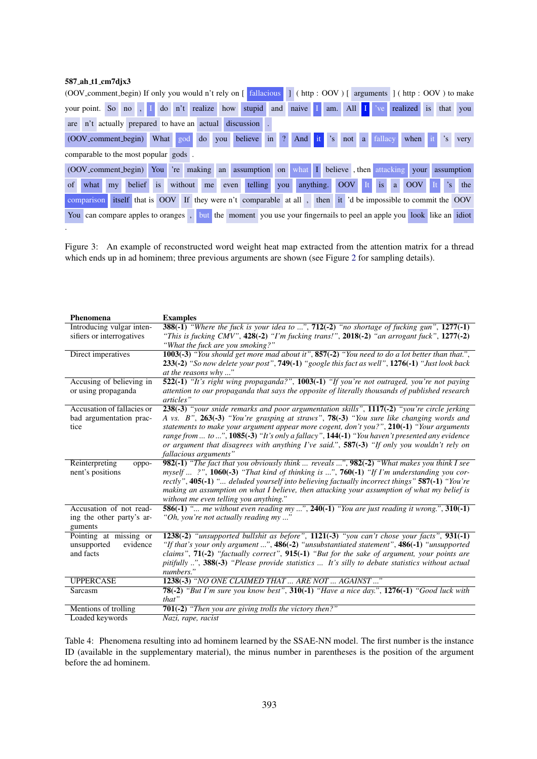## 587 ah t1 cm7djx3

.

|    |                                      |                |           |  |  |  |                                                        |  | (OOV_comment_begin) If only you would n't rely on [ fallacious   ] ( http : OOV ) [ arguments ] ( http : OOV ) to make |  |  |  |                  |  |         |
|----|--------------------------------------|----------------|-----------|--|--|--|--------------------------------------------------------|--|------------------------------------------------------------------------------------------------------------------------|--|--|--|------------------|--|---------|
|    |                                      |                |           |  |  |  |                                                        |  | your point. So no, I do n't realize how stupid and naive I am. All I ve realized is that you                           |  |  |  |                  |  |         |
|    |                                      |                |           |  |  |  | are n't actually prepared to have an actual discussion |  |                                                                                                                        |  |  |  |                  |  |         |
|    |                                      |                |           |  |  |  | (OOV_comment_begin) What god do you believe in ?       |  | And it 's not a fallacy                                                                                                |  |  |  | when it          |  | 's very |
|    | comparable to the most popular gods. |                |           |  |  |  |                                                        |  |                                                                                                                        |  |  |  |                  |  |         |
|    |                                      |                |           |  |  |  |                                                        |  | (OOV_comment_begin) You 're making an assumption on what I believe , then attacking your assumption                    |  |  |  |                  |  |         |
| of | what                                 | m <sub>V</sub> | belief is |  |  |  |                                                        |  | without me even telling you anything. OOV It is a                                                                      |  |  |  | <b>OOV</b> It 's |  | the     |
|    |                                      |                |           |  |  |  |                                                        |  | comparison itself that is OOV If they were n't comparable at all, then it 'd be impossible to commit the OOV           |  |  |  |                  |  |         |
|    |                                      |                |           |  |  |  |                                                        |  | You can compare apples to oranges, but the moment you use your fingernals to peel an apple you look like an idiot      |  |  |  |                  |  |         |

Figure 3: An example of reconstructed word weight heat map extracted from the attention matrix for a thread which ends up in ad hominem; three previous arguments are shown (see Figure 2 for sampling details).

| Phenomena                                                       | <b>Examples</b>                                                                                                                                                                                                                                                                                                                                                                                                                                                                                                       |
|-----------------------------------------------------------------|-----------------------------------------------------------------------------------------------------------------------------------------------------------------------------------------------------------------------------------------------------------------------------------------------------------------------------------------------------------------------------------------------------------------------------------------------------------------------------------------------------------------------|
| Introducing vulgar inten-<br>sifiers or interrogatives          | <b>388(-1)</b> "Where the fuck is your idea to ", $712(-2)$ "no shortage of fucking gun", $1277(-1)$<br>"This is fucking CMV", $428(-2)$ "I'm fucking trans!", $2018(-2)$ "an arrogant fuck", $1277(-2)$                                                                                                                                                                                                                                                                                                              |
|                                                                 | "What the fuck are you smoking?"                                                                                                                                                                                                                                                                                                                                                                                                                                                                                      |
| Direct imperatives                                              | 1003(-3) "You should get more mad about it", $857(-2)$ "You need to do a lot better than that.",<br>233(-2) "So now delete your post", $749(-1)$ "google this fact as well", $1276(-1)$ "Just look back<br>at the reasons why"                                                                                                                                                                                                                                                                                        |
| Accusing of believing in                                        | 522(-1) "It's right wing propaganda?", 1003(-1) "If you're not outraged, you're not paying                                                                                                                                                                                                                                                                                                                                                                                                                            |
| or using propaganda                                             | attention to our propaganda that says the opposite of literally thousands of published research<br>articles"                                                                                                                                                                                                                                                                                                                                                                                                          |
| Accusation of fallacies or<br>bad argumentation prac-<br>tice   | 238(-3) "your snide remarks and poor argumentation skills", 1117(-2) "you're circle jerking<br>A vs. B", 263(-3) "You're grasping at straws", 78(-3) "You sure like changing words and<br>statements to make your argument appear more cogent, don't you?", $210(-1)$ "Your arguments"<br>range from  to ", $1085(-3)$ "It's only a fallacy", $144(-1)$ "You haven't presented any evidence<br>or argument that disagrees with anything I've said.", $587(-3)$ "If only you wouldn't rely on<br>fallacious arguments" |
| Reinterpreting<br>oppo-<br>nent's positions                     | 982(-1) "The fact that you obviously think  reveals ", 982(-2) "What makes you think I see<br>myself $2$ ", 1060(-3) "That kind of thinking is ", 760(-1) "If I'm understanding you cor-<br>rectly", 405(-1) " deluded yourself into believing factually incorrect things" 587(-1) "You're<br>making an assumption on what I believe, then attacking your assumption of what my belief is<br>without me even telling you anything."                                                                                   |
| Accusation of not read-<br>ing the other party's ar-<br>guments | 586(-1) " me without even reading my ", $240(-1)$ "You are just reading it wrong.", $310(-1)$<br>"Oh, you're not actually reading my"                                                                                                                                                                                                                                                                                                                                                                                 |
| Pointing at missing or<br>unsupported<br>evidence<br>and facts  | 1238(-2) "unsupported bullshit as before", $1121(-3)$ "you can't chose your facts", $931(-1)$<br>"If that's your only argument ", 486(-2) "unsubstantiated statement", 486(-1) "unsupported<br>claims", $71(-2)$ "factually correct", $915(-1)$ "But for the sake of argument, your points are<br>pitifully ", 388(-3) "Please provide statistics  It's silly to debate statistics without actual<br>numbers."                                                                                                        |
| <b>UPPERCASE</b>                                                | 1238(-3) "NO ONE CLAIMED THAT  ARE NOT  AGAINST "                                                                                                                                                                                                                                                                                                                                                                                                                                                                     |
| Sarcasm                                                         | 78(-2) "But I'm sure you know best", 310(-1) "Have a nice day.", 1276(-1) "Good luck with<br>that"                                                                                                                                                                                                                                                                                                                                                                                                                    |
| Mentions of trolling                                            | 701(-2) "Then you are giving trolls the victory then?"                                                                                                                                                                                                                                                                                                                                                                                                                                                                |
| Loaded keywords                                                 | Nazi, rape, racist                                                                                                                                                                                                                                                                                                                                                                                                                                                                                                    |

Table 4: Phenomena resulting into ad hominem learned by the SSAE-NN model. The first number is the instance ID (available in the supplementary material), the minus number in parentheses is the position of the argument before the ad hominem.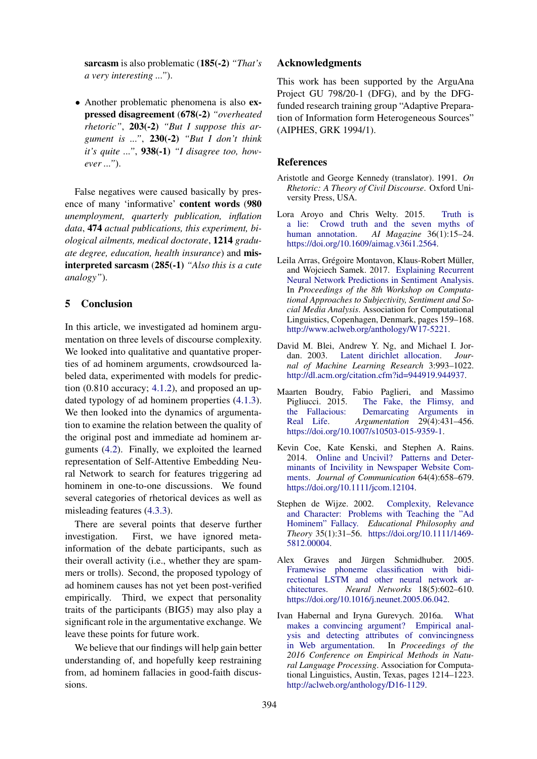sarcasm is also problematic (185(-2) *"That's a very interesting ..."*).

• Another problematic phenomena is also expressed disagreement (678(-2) *"overheated rhetoric"*, 203(-2) *"But I suppose this argument is ..."*, 230(-2) *"But I don't think it's quite ..."*, 938(-1) *"I disagree too, however ..."*).

False negatives were caused basically by presence of many 'informative' content words (980 *unemployment, quarterly publication, inflation data*, 474 *actual publications, this experiment, biological ailments, medical doctorate*, 1214 *graduate degree, education, health insurance*) and misinterpreted sarcasm (285(-1) *"Also this is a cute analogy"*).

## 5 Conclusion

In this article, we investigated ad hominem argumentation on three levels of discourse complexity. We looked into qualitative and quantative properties of ad hominem arguments, crowdsourced labeled data, experimented with models for prediction  $(0.810$  accuracy;  $4.1.2$ ), and proposed an updated typology of ad hominem properties (4.1.3). We then looked into the dynamics of argumentation to examine the relation between the quality of the original post and immediate ad hominem arguments (4.2). Finally, we exploited the learned representation of Self-Attentive Embedding Neural Network to search for features triggering ad hominem in one-to-one discussions. We found several categories of rhetorical devices as well as misleading features (4.3.3).

There are several points that deserve further investigation. First, we have ignored metainformation of the debate participants, such as their overall activity (i.e., whether they are spammers or trolls). Second, the proposed typology of ad hominem causes has not yet been post-verified empirically. Third, we expect that personality traits of the participants (BIG5) may also play a significant role in the argumentative exchange. We leave these points for future work.

We believe that our findings will help gain better understanding of, and hopefully keep restraining from, ad hominem fallacies in good-faith discussions.

## Acknowledgments

This work has been supported by the ArguAna Project GU 798/20-1 (DFG), and by the DFGfunded research training group "Adaptive Preparation of Information form Heterogeneous Sources" (AIPHES, GRK 1994/1).

## References

- Aristotle and George Kennedy (translator). 1991. *On Rhetoric: A Theory of Civil Discourse*. Oxford University Press, USA.
- Lora Aroyo and Chris Welty. 2015. Truth is a lie: Crowd truth and the seven myths of human annotation. *AI Magazine* 36(1):15–24. https://doi.org/10.1609/aimag.v36i1.2564.
- Leila Arras, Grégoire Montavon, Klaus-Robert Müller, and Wojciech Samek. 2017. Explaining Recurrent Neural Network Predictions in Sentiment Analysis. In *Proceedings of the 8th Workshop on Computational Approaches to Subjectivity, Sentiment and Social Media Analysis*. Association for Computational Linguistics, Copenhagen, Denmark, pages 159–168. http://www.aclweb.org/anthology/W17-5221.
- David M. Blei, Andrew Y. Ng, and Michael I. Jordan. 2003. Latent dirichlet allocation. *Journal of Machine Learning Research* 3:993–1022. http://dl.acm.org/citation.cfm?id=944919.944937.
- Maarten Boudry, Fabio Paglieri, and Massimo Pigliucci. 2015. The Fake, the Flimsy, and the Fallacious: Demarcating Arguments in Real Life. *Argumentation* 29(4):431–456. https://doi.org/10.1007/s10503-015-9359-1.
- Kevin Coe, Kate Kenski, and Stephen A. Rains. 2014. Online and Uncivil? Patterns and Determinants of Incivility in Newspaper Website Comments. *Journal of Communication* 64(4):658–679. https://doi.org/10.1111/jcom.12104.
- Stephen de Wijze. 2002. Complexity, Relevance and Character: Problems with Teaching the "Ad Hominem" Fallacy. *Educational Philosophy and Theory* 35(1):31–56. https://doi.org/10.1111/1469- 5812.00004.
- Alex Graves and Jürgen Schmidhuber. 2005. Framewise phoneme classification with bidirectional LSTM and other neural network architectures. *Neural Networks* 18(5):602–610. https://doi.org/10.1016/j.neunet.2005.06.042.
- Ivan Habernal and Iryna Gurevych. 2016a. What makes a convincing argument? Empirical analysis and detecting attributes of convincingness in Web argumentation. In *Proceedings of the 2016 Conference on Empirical Methods in Natural Language Processing*. Association for Computational Linguistics, Austin, Texas, pages 1214–1223. http://aclweb.org/anthology/D16-1129.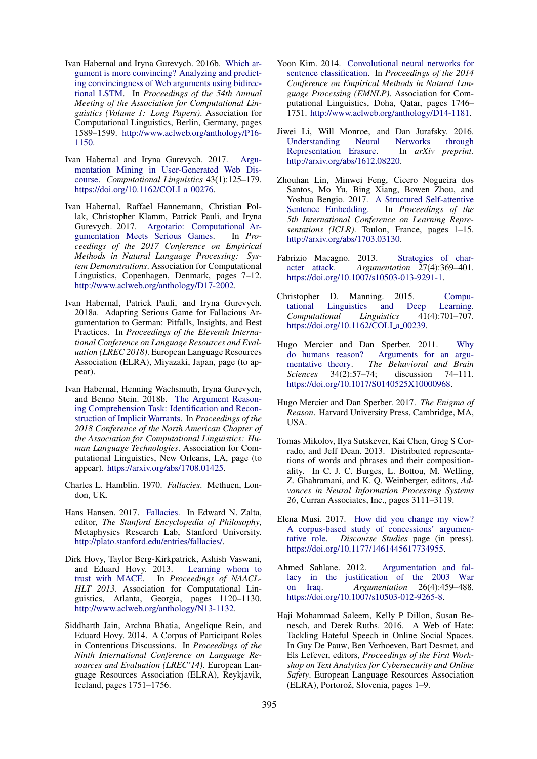- Ivan Habernal and Iryna Gurevych. 2016b. Which argument is more convincing? Analyzing and predicting convincingness of Web arguments using bidirectional LSTM. In *Proceedings of the 54th Annual Meeting of the Association for Computational Linguistics (Volume 1: Long Papers)*. Association for Computational Linguistics, Berlin, Germany, pages 1589–1599. http://www.aclweb.org/anthology/P16- 1150.
- Ivan Habernal and Iryna Gurevych. 2017. Argumentation Mining in User-Generated Web Discourse. *Computational Linguistics* 43(1):125–179. https://doi.org/10.1162/COLI\_a\_00276.
- Ivan Habernal, Raffael Hannemann, Christian Pollak, Christopher Klamm, Patrick Pauli, and Iryna Gurevych. 2017. Argotario: Computational Argumentation Meets Serious Games. In *Proceedings of the 2017 Conference on Empirical Methods in Natural Language Processing: System Demonstrations*. Association for Computational Linguistics, Copenhagen, Denmark, pages 7–12. http://www.aclweb.org/anthology/D17-2002.
- Ivan Habernal, Patrick Pauli, and Iryna Gurevych. 2018a. Adapting Serious Game for Fallacious Argumentation to German: Pitfalls, Insights, and Best Practices. In *Proceedings of the Eleventh International Conference on Language Resources and Evaluation (LREC 2018)*. European Language Resources Association (ELRA), Miyazaki, Japan, page (to appear).
- Ivan Habernal, Henning Wachsmuth, Iryna Gurevych, and Benno Stein. 2018b. The Argument Reasoning Comprehension Task: Identification and Reconstruction of Implicit Warrants. In *Proceedings of the 2018 Conference of the North American Chapter of the Association for Computational Linguistics: Human Language Technologies*. Association for Computational Linguistics, New Orleans, LA, page (to appear). https://arxiv.org/abs/1708.01425.
- Charles L. Hamblin. 1970. *Fallacies*. Methuen, London, UK.
- Hans Hansen. 2017. Fallacies. In Edward N. Zalta, editor, *The Stanford Encyclopedia of Philosophy*, Metaphysics Research Lab, Stanford University. http://plato.stanford.edu/entries/fallacies/.
- Dirk Hovy, Taylor Berg-Kirkpatrick, Ashish Vaswani, and Eduard Hovy. 2013. Learning whom to trust with MACE. In *Proceedings of NAACL-HLT 2013*. Association for Computational Linguistics, Atlanta, Georgia, pages 1120–1130. http://www.aclweb.org/anthology/N13-1132.
- Siddharth Jain, Archna Bhatia, Angelique Rein, and Eduard Hovy. 2014. A Corpus of Participant Roles in Contentious Discussions. In *Proceedings of the Ninth International Conference on Language Resources and Evaluation (LREC'14)*. European Language Resources Association (ELRA), Reykjavik, Iceland, pages 1751–1756.
- Yoon Kim. 2014. Convolutional neural networks for sentence classification. In *Proceedings of the 2014 Conference on Empirical Methods in Natural Language Processing (EMNLP)*. Association for Computational Linguistics, Doha, Qatar, pages 1746– 1751. http://www.aclweb.org/anthology/D14-1181.
- Jiwei Li, Will Monroe, and Dan Jurafsky. 2016. Understanding Neural Networks through Representation Erasure. In *arXiv preprint*. http://arxiv.org/abs/1612.08220.
- Zhouhan Lin, Minwei Feng, Cicero Nogueira dos Santos, Mo Yu, Bing Xiang, Bowen Zhou, and Yoshua Bengio. 2017. A Structured Self-attentive Sentence Embedding. In *Proceedings of the 5th International Conference on Learning Representations (ICLR)*. Toulon, France, pages 1–15. http://arxiv.org/abs/1703.03130.
- Fabrizio Macagno. 2013. Strategies of character attack. *Argumentation* 27(4):369–401. https://doi.org/10.1007/s10503-013-9291-1.
- Christopher D. Manning. 2015. Computational Linguistics and Deep Learning. *Computational Linguistics* 41(4):701–707. https://doi.org/10.1162/COLI\_a\_00239.
- Hugo Mercier and Dan Sperber. 2011. Why do humans reason? Arguments for an argumentative theory. *The Behavioral and Brain Sciences* 34(2):57–74; discussion 74–111. https://doi.org/10.1017/S0140525X10000968.
- Hugo Mercier and Dan Sperber. 2017. *The Enigma of Reason*. Harvard University Press, Cambridge, MA, USA.
- Tomas Mikolov, Ilya Sutskever, Kai Chen, Greg S Corrado, and Jeff Dean. 2013. Distributed representations of words and phrases and their compositionality. In C. J. C. Burges, L. Bottou, M. Welling, Z. Ghahramani, and K. Q. Weinberger, editors, *Advances in Neural Information Processing Systems 26*, Curran Associates, Inc., pages 3111–3119.
- Elena Musi. 2017. How did you change my view? A corpus-based study of concessions' argumentative role. *Discourse Studies* page (in press). https://doi.org/10.1177/1461445617734955.
- Ahmed Sahlane. 2012. Argumentation and fallacy in the justification of the 2003 War<br>on Iraq. *Argumentation* 26(4):459–488. Argumentation 26(4):459-488. https://doi.org/10.1007/s10503-012-9265-8.
- Haji Mohammad Saleem, Kelly P Dillon, Susan Benesch, and Derek Ruths. 2016. A Web of Hate: Tackling Hateful Speech in Online Social Spaces. In Guy De Pauw, Ben Verhoeven, Bart Desmet, and Els Lefever, editors, *Proceedings of the First Workshop on Text Analytics for Cybersecurity and Online Safety*. European Language Resources Association (ELRA), Portorož, Slovenia, pages 1–9.